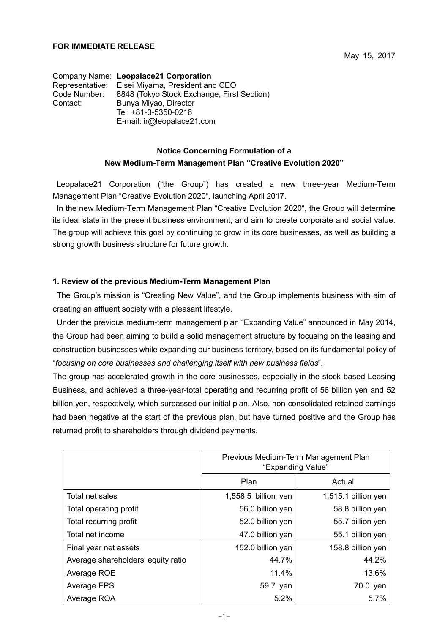Company Name: **Leopalace21 Corporation** Representative: Eisei Miyama, President and CEO Code Number: 8848 (Tokyo Stock Exchange, First Section) Contact: Bunya Miyao, Director Tel: +81-3-5350-0216 E-mail: ir@leopalace21.com

## **Notice Concerning Formulation of a New Medium-Term Management Plan "Creative Evolution 2020"**

Leopalace21 Corporation ("the Group") has created a new three-year Medium-Term Management Plan "Creative Evolution 2020", launching April 2017.

In the new Medium-Term Management Plan "Creative Evolution 2020", the Group will determine its ideal state in the present business environment, and aim to create corporate and social value. The group will achieve this goal by continuing to grow in its core businesses, as well as building a strong growth business structure for future growth.

## **1. Review of the previous Medium-Term Management Plan**

The Group's mission is "Creating New Value", and the Group implements business with aim of creating an affluent society with a pleasant lifestyle.

Under the previous medium-term management plan "Expanding Value" announced in May 2014, the Group had been aiming to build a solid management structure by focusing on the leasing and construction businesses while expanding our business territory, based on its fundamental policy of "*focusing on core businesses and challenging itself with new business fields*".

The group has accelerated growth in the core businesses, especially in the stock-based Leasing Business, and achieved a three-year-total operating and recurring profit of 56 billion yen and 52 billion yen, respectively, which surpassed our initial plan. Also, non-consolidated retained earnings had been negative at the start of the previous plan, but have turned positive and the Group has returned profit to shareholders through dividend payments.

|                                    | Previous Medium-Term Management Plan<br>"Expanding Value" |                     |
|------------------------------------|-----------------------------------------------------------|---------------------|
|                                    | Plan                                                      | Actual              |
| Total net sales                    | 1,558.5 billion yen                                       | 1,515.1 billion yen |
| Total operating profit             | 56.0 billion yen                                          | 58.8 billion yen    |
| Total recurring profit             | 52.0 billion yen                                          | 55.7 billion yen    |
| Total net income                   | 47.0 billion yen                                          | 55.1 billion yen    |
| Final year net assets              | 152.0 billion yen                                         | 158.8 billion yen   |
| Average shareholders' equity ratio | 44.7%                                                     | 44.2%               |
| Average ROE                        | 11.4%                                                     | 13.6%               |
| Average EPS                        | 59.7 yen                                                  | 70.0 yen            |
| Average ROA                        | 5.2%                                                      | 5.7%                |